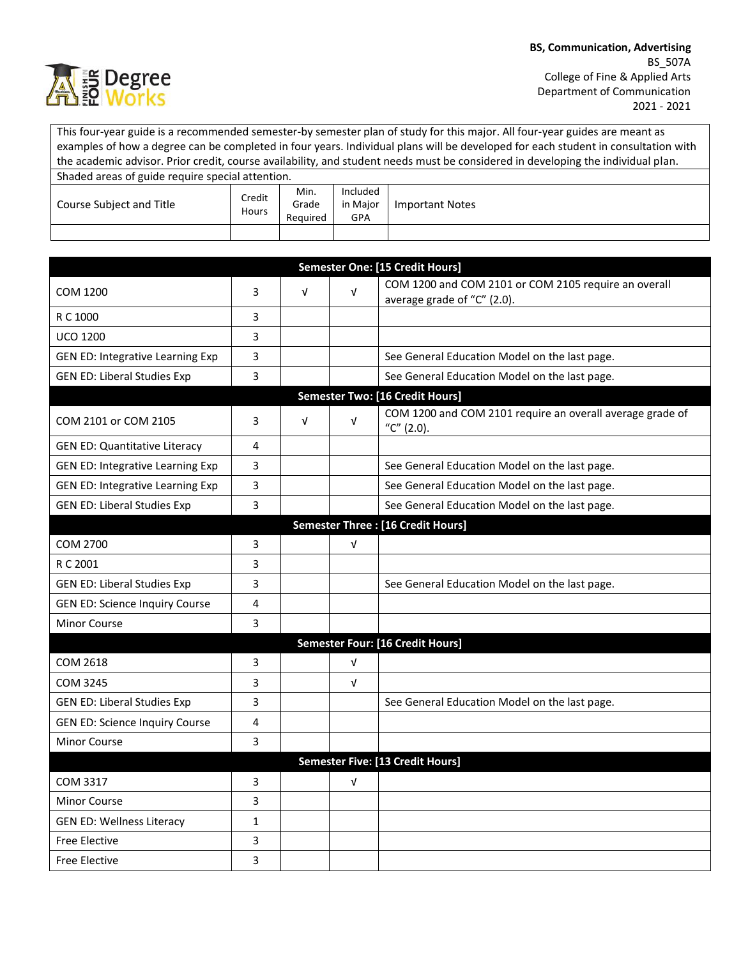

This four-year guide is a recommended semester-by semester plan of study for this major. All four-year guides are meant as examples of how a degree can be completed in four years. Individual plans will be developed for each student in consultation with the academic advisor. Prior credit, course availability, and student needs must be considered in developing the individual plan. Shaded areas of guide require special attention.

| Course Subject and Title | Credit<br>Hours | Min.     | Included   |                 |
|--------------------------|-----------------|----------|------------|-----------------|
|                          |                 | Grade    | in Major   | Important Notes |
|                          |                 | Reguired | <b>GPA</b> |                 |
|                          |                 |          |            |                 |

| <b>Semester One: [15 Credit Hours]</b>  |                |            |            |                                                                                     |
|-----------------------------------------|----------------|------------|------------|-------------------------------------------------------------------------------------|
| <b>COM 1200</b>                         | 3              | $\sqrt{ }$ | $\sqrt{ }$ | COM 1200 and COM 2101 or COM 2105 require an overall<br>average grade of "C" (2.0). |
| R C 1000                                | 3              |            |            |                                                                                     |
| <b>UCO 1200</b>                         | 3              |            |            |                                                                                     |
| <b>GEN ED: Integrative Learning Exp</b> | 3              |            |            | See General Education Model on the last page.                                       |
| <b>GEN ED: Liberal Studies Exp</b>      | 3              |            |            | See General Education Model on the last page.                                       |
|                                         |                |            |            | <b>Semester Two: [16 Credit Hours]</b>                                              |
| COM 2101 or COM 2105                    | 3              | $\sqrt{ }$ | $\sqrt{ }$ | COM 1200 and COM 2101 require an overall average grade of<br>"C" (2.0).             |
| <b>GEN ED: Quantitative Literacy</b>    | $\overline{4}$ |            |            |                                                                                     |
| GEN ED: Integrative Learning Exp        | 3              |            |            | See General Education Model on the last page.                                       |
| <b>GEN ED: Integrative Learning Exp</b> | 3              |            |            | See General Education Model on the last page.                                       |
| <b>GEN ED: Liberal Studies Exp</b>      | 3              |            |            | See General Education Model on the last page.                                       |
|                                         |                |            |            | Semester Three : [16 Credit Hours]                                                  |
| <b>COM 2700</b>                         | 3              |            | $\sqrt{ }$ |                                                                                     |
| R C 2001                                | 3              |            |            |                                                                                     |
| <b>GEN ED: Liberal Studies Exp</b>      | 3              |            |            | See General Education Model on the last page.                                       |
| <b>GEN ED: Science Inquiry Course</b>   | 4              |            |            |                                                                                     |
| <b>Minor Course</b>                     | 3              |            |            |                                                                                     |
| <b>Semester Four: [16 Credit Hours]</b> |                |            |            |                                                                                     |
| COM 2618                                | 3              |            | $\sqrt{ }$ |                                                                                     |
| <b>COM 3245</b>                         | 3              |            | $\sqrt{ }$ |                                                                                     |
| <b>GEN ED: Liberal Studies Exp</b>      | 3              |            |            | See General Education Model on the last page.                                       |
| <b>GEN ED: Science Inquiry Course</b>   | 4              |            |            |                                                                                     |
| <b>Minor Course</b>                     | 3              |            |            |                                                                                     |
| Semester Five: [13 Credit Hours]        |                |            |            |                                                                                     |
| COM 3317                                | 3              |            | $\sqrt{ }$ |                                                                                     |
| Minor Course                            | 3              |            |            |                                                                                     |
| <b>GEN ED: Wellness Literacy</b>        | $\mathbf{1}$   |            |            |                                                                                     |
| <b>Free Elective</b>                    | 3              |            |            |                                                                                     |
| <b>Free Elective</b>                    | 3              |            |            |                                                                                     |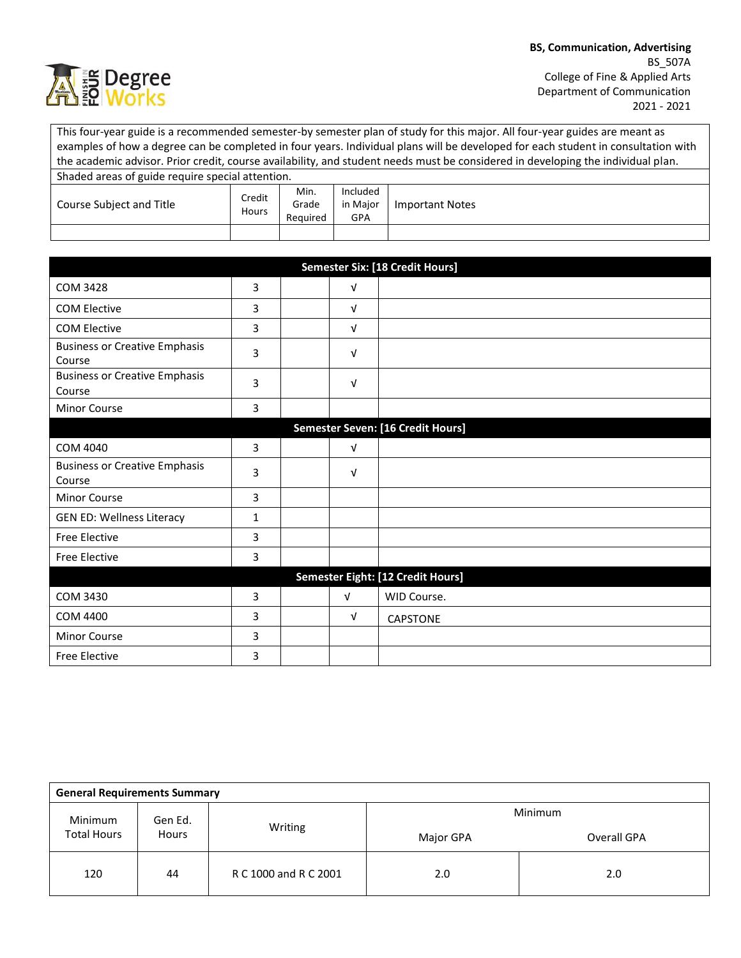

This four-year guide is a recommended semester-by semester plan of study for this major. All four-year guides are meant as examples of how a degree can be completed in four years. Individual plans will be developed for each student in consultation with the academic advisor. Prior credit, course availability, and student needs must be considered in developing the individual plan. Shaded areas of guide require special attention.

| Course Subject and Title | Credit<br>Hours | Min.<br>Grade<br>Reauired | Included<br>in Major<br><b>GPA</b> | <b>Important Notes</b> |
|--------------------------|-----------------|---------------------------|------------------------------------|------------------------|
|                          |                 |                           |                                    |                        |

| Semester Six: [18 Credit Hours]                |              |            |                                   |  |  |
|------------------------------------------------|--------------|------------|-----------------------------------|--|--|
| <b>COM 3428</b>                                | 3            | V          |                                   |  |  |
| <b>COM Elective</b>                            | 3            | $\sqrt{ }$ |                                   |  |  |
| <b>COM Elective</b>                            | 3            | $\sqrt{ }$ |                                   |  |  |
| <b>Business or Creative Emphasis</b><br>Course | 3            | $\sqrt{ }$ |                                   |  |  |
| <b>Business or Creative Emphasis</b><br>Course | 3            | $\sqrt{ }$ |                                   |  |  |
| Minor Course                                   | 3            |            |                                   |  |  |
|                                                |              |            | Semester Seven: [16 Credit Hours] |  |  |
| COM 4040                                       | 3            | $\sqrt{ }$ |                                   |  |  |
| <b>Business or Creative Emphasis</b><br>Course | 3            | V          |                                   |  |  |
| <b>Minor Course</b>                            | 3            |            |                                   |  |  |
| <b>GEN ED: Wellness Literacy</b>               | $\mathbf{1}$ |            |                                   |  |  |
| Free Elective                                  | 3            |            |                                   |  |  |
| <b>Free Elective</b>                           | 3            |            |                                   |  |  |
| Semester Eight: [12 Credit Hours]              |              |            |                                   |  |  |
| COM 3430                                       | 3            | V          | WID Course.                       |  |  |
| COM 4400                                       | 3            | V          | CAPSTONE                          |  |  |
| Minor Course                                   | 3            |            |                                   |  |  |
| <b>Free Elective</b>                           | 3            |            |                                   |  |  |

| <b>General Requirements Summary</b>                      |         |                       |             |     |  |  |
|----------------------------------------------------------|---------|-----------------------|-------------|-----|--|--|
| Minimum<br>Gen Ed.<br><b>Total Hours</b><br><b>Hours</b> |         | Minimum               |             |     |  |  |
|                                                          | Writing | Major GPA             | Overall GPA |     |  |  |
| 120                                                      | 44      | R C 1000 and R C 2001 | 2.0         | 2.0 |  |  |